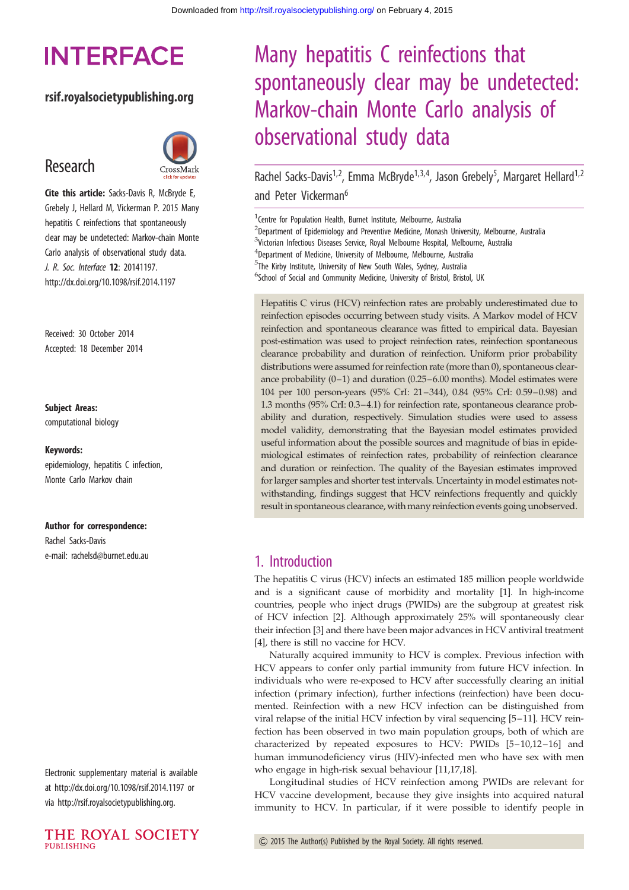# **INTERFACE**

## rsif.royalsocietypublishing.org

# Research



Cite this article: Sacks-Davis R, McBryde E, Grebely J, Hellard M, Vickerman P. 2015 Many hepatitis C reinfections that spontaneously clear may be undetected: Markov-chain Monte Carlo analysis of observational study data. J. R. Soc. Interface 12: 20141197. http://dx.doi.org/10.1098/rsif.2014.1197

Received: 30 October 2014 Accepted: 18 December 2014

#### Subject Areas:

computational biology

#### Keywords:

epidemiology, hepatitis C infection, Monte Carlo Markov chain

#### Author for correspondence:

Rachel Sacks-Davis e-mail: [rachelsd@burnet.edu.au](mailto:rachelsd@burnet.edu.au)

Electronic supplementary material is available at [http://dx.doi.org/10.1098/rsif.2014.1197](http://dx.doi.org/10.1098/RSIF.2014.1197) or via [http://rsif.royalsocietypublishing.org](http://RSIF.royalsocietypublishing.org).



# Many hepatitis C reinfections that spontaneously clear may be undetected: Markov-chain Monte Carlo analysis of observational study data

Rachel Sacks-Davis<sup>1,2</sup>, Emma McBryde<sup>1,3,4</sup>, Jason Grebely<sup>5</sup>, Margaret Hellard<sup>1,2</sup> and Peter Vickerman<sup>6</sup>

<sup>1</sup> Centre for Population Health, Burnet Institute, Melbourne, Australia <sup>2</sup>Department of Epidemiology and Preventive Medicine, Monash University, Melbourne, Australia <sup>3</sup>Victorian Infectious Diseases Service, Royal Melbourne Hospital, Melbourne, Australia 4 Department of Medicine, University of Melbourne, Melbourne, Australia <sup>5</sup>The Kirby Institute, University of New South Wales, Sydney, Australia <sup>6</sup>School of Social and Community Medicine, University of Bristol, Bristol, UK

Hepatitis C virus (HCV) reinfection rates are probably underestimated due to reinfection episodes occurring between study visits. A Markov model of HCV reinfection and spontaneous clearance was fitted to empirical data. Bayesian post-estimation was used to project reinfection rates, reinfection spontaneous clearance probability and duration of reinfection. Uniform prior probability distributions were assumed for reinfection rate (more than 0), spontaneous clearance probability  $(0-1)$  and duration  $(0.25-6.00$  months). Model estimates were 104 per 100 person-years (95% CrI: 21–344), 0.84 (95% CrI: 0.59–0.98) and 1.3 months (95% CrI: 0.3–4.1) for reinfection rate, spontaneous clearance probability and duration, respectively. Simulation studies were used to assess model validity, demonstrating that the Bayesian model estimates provided useful information about the possible sources and magnitude of bias in epidemiological estimates of reinfection rates, probability of reinfection clearance and duration or reinfection. The quality of the Bayesian estimates improved for larger samples and shorter test intervals. Uncertainty in model estimates notwithstanding, findings suggest that HCV reinfections frequently and quickly result in spontaneous clearance, with many reinfection events going unobserved.

## 1. Introduction

The hepatitis C virus (HCV) infects an estimated 185 million people worldwide and is a significant cause of morbidity and mortality [\[1](#page-11-0)]. In high-income countries, people who inject drugs (PWIDs) are the subgroup at greatest risk of HCV infection [\[2](#page-11-0)]. Although approximately 25% will spontaneously clear their infection [\[3\]](#page-11-0) and there have been major advances in HCV antiviral treatment [[4](#page-11-0)], there is still no vaccine for HCV.

Naturally acquired immunity to HCV is complex. Previous infection with HCV appears to confer only partial immunity from future HCV infection. In individuals who were re-exposed to HCV after successfully clearing an initial infection (primary infection), further infections (reinfection) have been documented. Reinfection with a new HCV infection can be distinguished from viral relapse of the initial HCV infection by viral sequencing [\[5](#page-11-0)–[11](#page-11-0)]. HCV reinfection has been observed in two main population groups, both of which are characterized by repeated exposures to HCV: PWIDs [\[5](#page-11-0)-[10,12](#page-11-0)-[16](#page-11-0)] and human immunodeficiency virus (HIV)-infected men who have sex with men who engage in high-risk sexual behaviour [\[11,17](#page-11-0),[18\]](#page-11-0).

Longitudinal studies of HCV reinfection among PWIDs are relevant for HCV vaccine development, because they give insights into acquired natural immunity to HCV. In particular, if it were possible to identify people in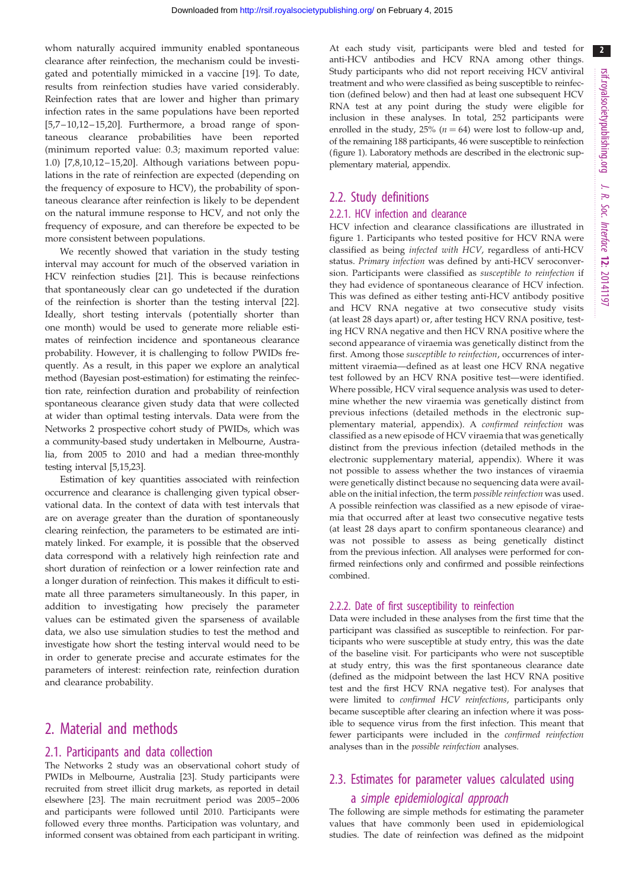$\overline{\phantom{a}}$  2

whom naturally acquired immunity enabled spontaneous clearance after reinfection, the mechanism could be investigated and potentially mimicked in a vaccine [\[19\]](#page-11-0). To date, results from reinfection studies have varied considerably. Reinfection rates that are lower and higher than primary infection rates in the same populations have been reported  $[5,7-10,12-15,20]$  $[5,7-10,12-15,20]$  $[5,7-10,12-15,20]$  $[5,7-10,12-15,20]$  $[5,7-10,12-15,20]$ . Furthermore, a broad range of spontaneous clearance probabilities have been reported (minimum reported value: 0.3; maximum reported value: 1.0) [\[7,8,10,12](#page-11-0) – [15,20](#page-11-0)]. Although variations between populations in the rate of reinfection are expected (depending on the frequency of exposure to HCV), the probability of spontaneous clearance after reinfection is likely to be dependent on the natural immune response to HCV, and not only the frequency of exposure, and can therefore be expected to be more consistent between populations.

We recently showed that variation in the study testing interval may account for much of the observed variation in HCV reinfection studies [[21\]](#page-11-0). This is because reinfections that spontaneously clear can go undetected if the duration of the reinfection is shorter than the testing interval [\[22](#page-11-0)]. Ideally, short testing intervals (potentially shorter than one month) would be used to generate more reliable estimates of reinfection incidence and spontaneous clearance probability. However, it is challenging to follow PWIDs frequently. As a result, in this paper we explore an analytical method (Bayesian post-estimation) for estimating the reinfection rate, reinfection duration and probability of reinfection spontaneous clearance given study data that were collected at wider than optimal testing intervals. Data were from the Networks 2 prospective cohort study of PWIDs, which was a community-based study undertaken in Melbourne, Australia, from 2005 to 2010 and had a median three-monthly testing interval [[5,15,23\]](#page-11-0).

Estimation of key quantities associated with reinfection occurrence and clearance is challenging given typical observational data. In the context of data with test intervals that are on average greater than the duration of spontaneously clearing reinfection, the parameters to be estimated are intimately linked. For example, it is possible that the observed data correspond with a relatively high reinfection rate and short duration of reinfection or a lower reinfection rate and a longer duration of reinfection. This makes it difficult to estimate all three parameters simultaneously. In this paper, in addition to investigating how precisely the parameter values can be estimated given the sparseness of available data, we also use simulation studies to test the method and investigate how short the testing interval would need to be in order to generate precise and accurate estimates for the parameters of interest: reinfection rate, reinfection duration and clearance probability.

# 2. Material and methods

## 2.1. Participants and data collection

The Networks 2 study was an observational cohort study of PWIDs in Melbourne, Australia [\[23\]](#page-11-0). Study participants were recruited from street illicit drug markets, as reported in detail elsewhere [[23](#page-11-0)]. The main recruitment period was 2005 – 2006 and participants were followed until 2010. Participants were followed every three months. Participation was voluntary, and informed consent was obtained from each participant in writing.

At each study visit, participants were bled and tested for anti-HCV antibodies and HCV RNA among other things. Study participants who did not report receiving HCV antiviral treatment and who were classified as being susceptible to reinfection (defined below) and then had at least one subsequent HCV RNA test at any point during the study were eligible for inclusion in these analyses. In total, 252 participants were enrolled in the study,  $25\%$  ( $n = 64$ ) were lost to follow-up and, of the remaining 188 participants, 46 were susceptible to reinfection [\(figure 1\)](#page-2-0). Laboratory methods are described in the electronic supplementary material, appendix.

## 2.2. Study definitions

## 2.2.1. HCV infection and clearance

HCV infection and clearance classifications are illustrated in [figure 1.](#page-2-0) Participants who tested positive for HCV RNA were classified as being infected with HCV, regardless of anti-HCV status. Primary infection was defined by anti-HCV seroconversion. Participants were classified as susceptible to reinfection if they had evidence of spontaneous clearance of HCV infection. This was defined as either testing anti-HCV antibody positive and HCV RNA negative at two consecutive study visits (at least 28 days apart) or, after testing HCV RNA positive, testing HCV RNA negative and then HCV RNA positive where the second appearance of viraemia was genetically distinct from the first. Among those susceptible to reinfection, occurrences of intermittent viraemia—defined as at least one HCV RNA negative test followed by an HCV RNA positive test—were identified. Where possible, HCV viral sequence analysis was used to determine whether the new viraemia was genetically distinct from previous infections (detailed methods in the electronic supplementary material, appendix). A confirmed reinfection was classified as a new episode of HCV viraemia that was genetically distinct from the previous infection (detailed methods in the electronic supplementary material, appendix). Where it was not possible to assess whether the two instances of viraemia were genetically distinct because no sequencing data were available on the initial infection, the term possible reinfection was used. A possible reinfection was classified as a new episode of viraemia that occurred after at least two consecutive negative tests (at least 28 days apart to confirm spontaneous clearance) and was not possible to assess as being genetically distinct from the previous infection. All analyses were performed for confirmed reinfections only and confirmed and possible reinfections combined.

## 2.2.2. Date of first susceptibility to reinfection

Data were included in these analyses from the first time that the participant was classified as susceptible to reinfection. For participants who were susceptible at study entry, this was the date of the baseline visit. For participants who were not susceptible at study entry, this was the first spontaneous clearance date (defined as the midpoint between the last HCV RNA positive test and the first HCV RNA negative test). For analyses that were limited to confirmed HCV reinfections, participants only became susceptible after clearing an infection where it was possible to sequence virus from the first infection. This meant that fewer participants were included in the confirmed reinfection analyses than in the possible reinfection analyses.

# 2.3. Estimates for parameter values calculated using a simple epidemiological approach

The following are simple methods for estimating the parameter values that have commonly been used in epidemiological studies. The date of reinfection was defined as the midpoint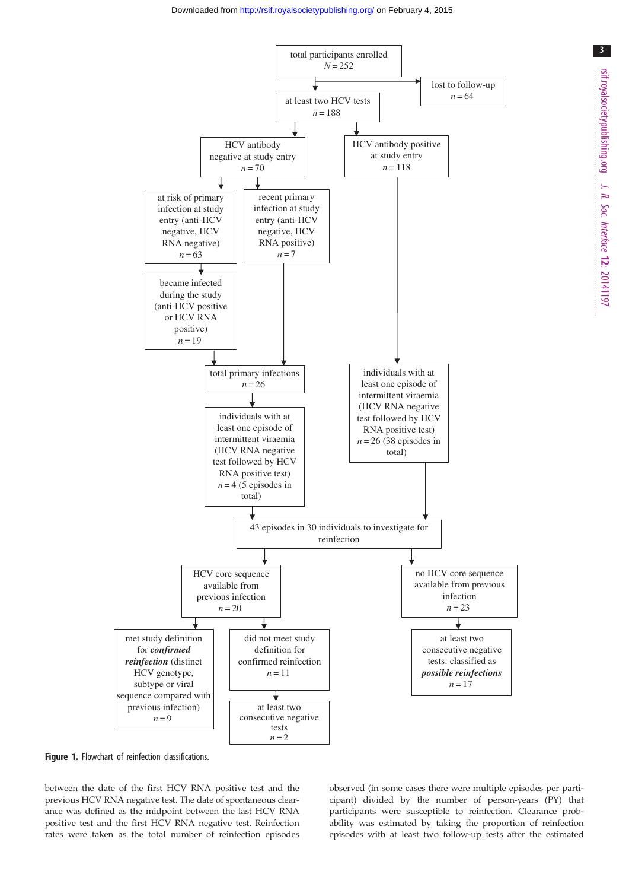<span id="page-2-0"></span>

Figure 1. Flowchart of reinfection classifications.

between the date of the first HCV RNA positive test and the previous HCV RNA negative test. The date of spontaneous clearance was defined as the midpoint between the last HCV RNA positive test and the first HCV RNA negative test. Reinfection rates were taken as the total number of reinfection episodes observed (in some cases there were multiple episodes per participant) divided by the number of person-years (PY) that participants were susceptible to reinfection. Clearance probability was estimated by taking the proportion of reinfection episodes with at least two follow-up tests after the estimated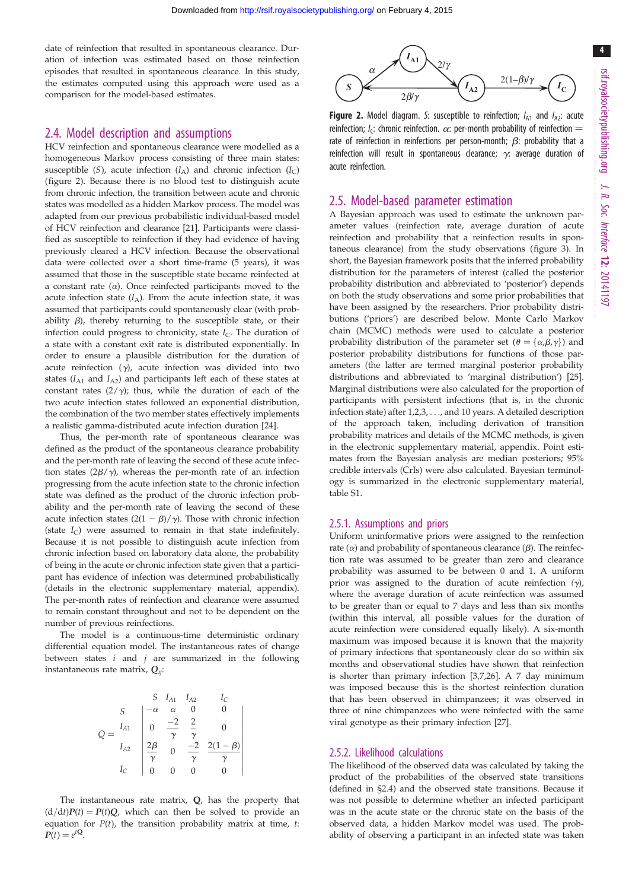<span id="page-3-0"></span>date of reinfection that resulted in spontaneous clearance. Duration of infection was estimated based on those reinfection episodes that resulted in spontaneous clearance. In this study, the estimates computed using this approach were used as a comparison for the model-based estimates.

## 2.4. Model description and assumptions

HCV reinfection and spontaneous clearance were modelled as a homogeneous Markov process consisting of three main states: susceptible (S), acute infection  $(I_A)$  and chronic infection  $(I_C)$ (figure 2). Because there is no blood test to distinguish acute from chronic infection, the transition between acute and chronic states was modelled as a hidden Markov process. The model was adapted from our previous probabilistic individual-based model of HCV reinfection and clearance [[21](#page-11-0)]. Participants were classified as susceptible to reinfection if they had evidence of having previously cleared a HCV infection. Because the observational data were collected over a short time-frame (5 years), it was assumed that those in the susceptible state became reinfected at a constant rate  $(\alpha)$ . Once reinfected participants moved to the acute infection state  $(I_A)$ . From the acute infection state, it was assumed that participants could spontaneously clear (with probability  $\beta$ ), thereby returning to the susceptible state, or their infection could progress to chronicity, state  $I_C$ . The duration of a state with a constant exit rate is distributed exponentially. In order to ensure a plausible distribution for the duration of acute reinfection  $(y)$ , acute infection was divided into two states  $(I_{A1}$  and  $I_{A2}$ ) and participants left each of these states at constant rates  $(2/\gamma)$ ; thus, while the duration of each of the two acute infection states followed an exponential distribution, the combination of the two member states effectively implements a realistic gamma-distributed acute infection duration [\[24\]](#page-11-0).

Thus, the per-month rate of spontaneous clearance was defined as the product of the spontaneous clearance probability and the per-month rate of leaving the second of these acute infection states  $(2\beta/\gamma)$ , whereas the per-month rate of an infection progressing from the acute infection state to the chronic infection state was defined as the product of the chronic infection probability and the per-month rate of leaving the second of these acute infection states  $(2(1 - \beta)/\gamma)$ . Those with chronic infection (state  $I_{\text{C}}$ ) were assumed to remain in that state indefinitely. Because it is not possible to distinguish acute infection from chronic infection based on laboratory data alone, the probability of being in the acute or chronic infection state given that a participant has evidence of infection was determined probabilistically (details in the electronic supplementary material, appendix). The per-month rates of reinfection and clearance were assumed to remain constant throughout and not to be dependent on the number of previous reinfections.

The model is a continuous-time deterministic ordinary differential equation model. The instantaneous rates of change between states  $i$  and  $j$  are summarized in the following instantaneous rate matrix,  $Q_{ii}$ :

$$
Q = \begin{bmatrix} S & I_{A1} & I_{A2} & I_C \\ S & |-\alpha & \alpha & 0 & 0 \\ 0 & \frac{-2}{\gamma} & \frac{2}{\gamma} & 0 \\ I_{A2} & \frac{2\beta}{\gamma} & 0 & \frac{-2}{\gamma} & \frac{2(1-\beta)}{\gamma} \\ 0 & 0 & 0 & 0 \end{bmatrix}
$$

The instantaneous rate matrix,  $Q$ , has the property that  $(d/dt)P(t) = P(t)Q$ , which can then be solved to provide an equation for  $P(t)$ , the transition probability matrix at time, t:  $\overline{P}(t) = e^{t\mathbf{Q}}$ .



**Figure 2.** Model diagram. S: susceptible to reinfection;  $I_{A1}$  and  $I_{A2}$ : acute reinfection;  $I_c$ : chronic reinfection.  $\alpha$ : per-month probability of reinfection = rate of reinfection in reinfections per person-month;  $\beta$ : probability that a reinfection will result in spontaneous clearance;  $\gamma$ : average duration of acute reinfection.

## 2.5. Model-based parameter estimation

A Bayesian approach was used to estimate the unknown parameter values (reinfection rate, average duration of acute reinfection and probability that a reinfection results in spontaneous clearance) from the study observations ([figure 3\)](#page-4-0). In short, the Bayesian framework posits that the inferred probability distribution for the parameters of interest (called the posterior probability distribution and abbreviated to 'posterior') depends on both the study observations and some prior probabilities that have been assigned by the researchers. Prior probability distributions ('priors') are described below. Monte Carlo Markov chain (MCMC) methods were used to calculate a posterior probability distribution of the parameter set  $(\theta = {\alpha, \beta, \gamma})$  and posterior probability distributions for functions of those parameters (the latter are termed marginal posterior probability distributions and abbreviated to 'marginal distribution') [\[25\]](#page-12-0). Marginal distributions were also calculated for the proportion of participants with persistent infections (that is, in the chronic infection state) after 1,2,3, ..., and 10 years. A detailed description of the approach taken, including derivation of transition probability matrices and details of the MCMC methods, is given in the electronic supplementary material, appendix. Point estimates from the Bayesian analysis are median posteriors; 95% credible intervals (CrIs) were also calculated. Bayesian terminology is summarized in the electronic supplementary material, table S1.

#### 2.5.1. Assumptions and priors

Uniform uninformative priors were assigned to the reinfection rate  $(\alpha)$  and probability of spontaneous clearance  $(\beta)$ . The reinfection rate was assumed to be greater than zero and clearance probability was assumed to be between 0 and 1. A uniform prior was assigned to the duration of acute reinfection  $(y)$ , where the average duration of acute reinfection was assumed to be greater than or equal to 7 days and less than six months (within this interval, all possible values for the duration of acute reinfection were considered equally likely). A six-month maximum was imposed because it is known that the majority of primary infections that spontaneously clear do so within six months and observational studies have shown that reinfection is shorter than primary infection [[3,7](#page-11-0)[,26\]](#page-12-0). A 7 day minimum was imposed because this is the shortest reinfection duration that has been observed in chimpanzees; it was observed in three of nine chimpanzees who were reinfected with the same viral genotype as their primary infection [[27](#page-12-0)].

#### 2.5.2. Likelihood calculations

The likelihood of the observed data was calculated by taking the product of the probabilities of the observed state transitions (defined in §2.4) and the observed state transitions. Because it was not possible to determine whether an infected participant was in the acute state or the chronic state on the basis of the observed data, a hidden Markov model was used. The probability of observing a participant in an infected state was taken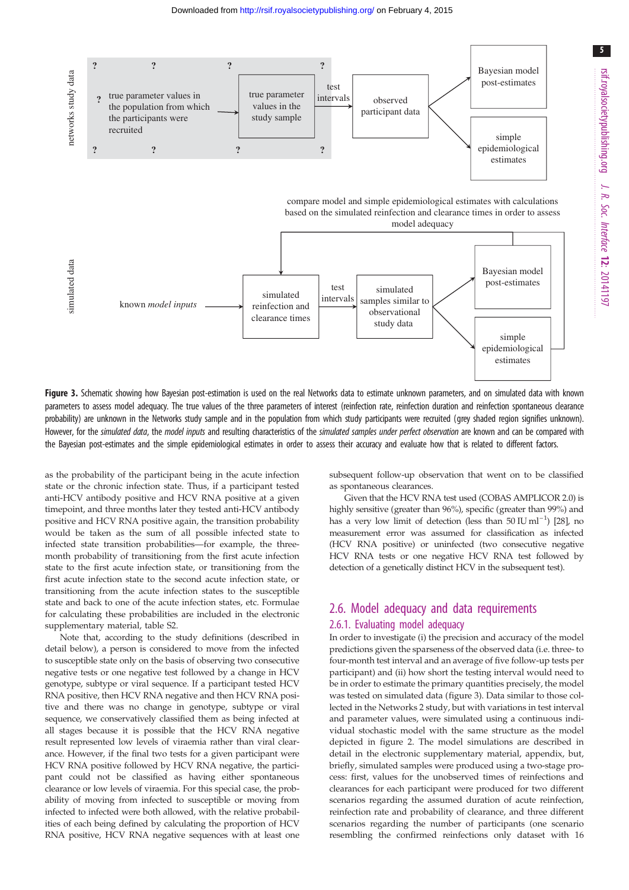<span id="page-4-0"></span>

Figure 3. Schematic showing how Bayesian post-estimation is used on the real Networks data to estimate unknown parameters, and on simulated data with known parameters to assess model adequacy. The true values of the three parameters of interest (reinfection rate, reinfection duration and reinfection spontaneous clearance probability) are unknown in the Networks study sample and in the population from which study participants were recruited (grey shaded region signifies unknown). However, for the simulated data, the model inputs and resulting characteristics of the simulated samples under perfect observation are known and can be compared with the Bayesian post-estimates and the simple epidemiological estimates in order to assess their accuracy and evaluate how that is related to different factors.

as the probability of the participant being in the acute infection state or the chronic infection state. Thus, if a participant tested anti-HCV antibody positive and HCV RNA positive at a given timepoint, and three months later they tested anti-HCV antibody positive and HCV RNA positive again, the transition probability would be taken as the sum of all possible infected state to infected state transition probabilities—for example, the threemonth probability of transitioning from the first acute infection state to the first acute infection state, or transitioning from the first acute infection state to the second acute infection state, or transitioning from the acute infection states to the susceptible state and back to one of the acute infection states, etc. Formulae for calculating these probabilities are included in the electronic supplementary material, table S2.

Note that, according to the study definitions (described in detail below), a person is considered to move from the infected to susceptible state only on the basis of observing two consecutive negative tests or one negative test followed by a change in HCV genotype, subtype or viral sequence. If a participant tested HCV RNA positive, then HCV RNA negative and then HCV RNA positive and there was no change in genotype, subtype or viral sequence, we conservatively classified them as being infected at all stages because it is possible that the HCV RNA negative result represented low levels of viraemia rather than viral clearance. However, if the final two tests for a given participant were HCV RNA positive followed by HCV RNA negative, the participant could not be classified as having either spontaneous clearance or low levels of viraemia. For this special case, the probability of moving from infected to susceptible or moving from infected to infected were both allowed, with the relative probabilities of each being defined by calculating the proportion of HCV RNA positive, HCV RNA negative sequences with at least one subsequent follow-up observation that went on to be classified as spontaneous clearances.

Given that the HCV RNA test used (COBAS AMPLICOR 2.0) is highly sensitive (greater than 96%), specific (greater than 99%) and has a very low limit of detection (less than  $50 \text{ IU ml}^{-1}$ ) [\[28](#page-12-0)], no measurement error was assumed for classification as infected (HCV RNA positive) or uninfected (two consecutive negative HCV RNA tests or one negative HCV RNA test followed by detection of a genetically distinct HCV in the subsequent test).

## 2.6. Model adequacy and data requirements

## 2.6.1. Evaluating model adequacy

In order to investigate (i) the precision and accuracy of the model predictions given the sparseness of the observed data (i.e. three- to four-month test interval and an average of five follow-up tests per participant) and (ii) how short the testing interval would need to be in order to estimate the primary quantities precisely, the model was tested on simulated data (figure 3). Data similar to those collected in the Networks 2 study, but with variations in test interval and parameter values, were simulated using a continuous individual stochastic model with the same structure as the model depicted in [figure 2](#page-3-0). The model simulations are described in detail in the electronic supplementary material, appendix, but, briefly, simulated samples were produced using a two-stage process: first, values for the unobserved times of reinfections and clearances for each participant were produced for two different scenarios regarding the assumed duration of acute reinfection, reinfection rate and probability of clearance, and three different scenarios regarding the number of participants (one scenario resembling the confirmed reinfections only dataset with 16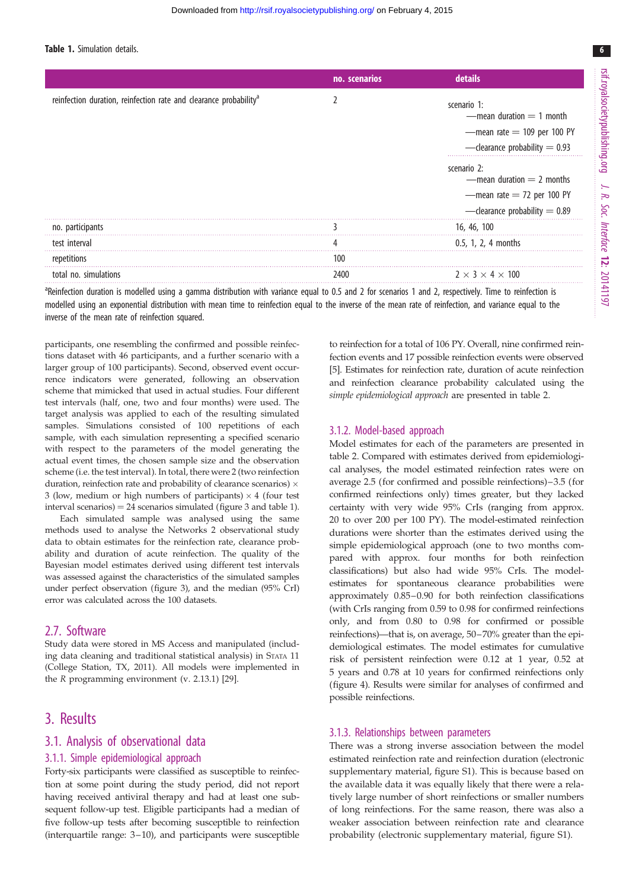### <span id="page-5-0"></span>Table 1. Simulation details.

|                                                                               | no. scenarios | details                                                                                                                                                                                                                              |
|-------------------------------------------------------------------------------|---------------|--------------------------------------------------------------------------------------------------------------------------------------------------------------------------------------------------------------------------------------|
| reinfection duration, reinfection rate and clearance probability <sup>a</sup> |               | scenario 1:<br>—mean duration $=$ 1 month<br>-mean rate $=$ 109 per 100 PY<br>$-$ clearance probability $= 0.93$<br>scenario 2:<br>—mean duration $=$ 2 months<br>-mean rate $=$ 72 per 100 PY<br>$-$ clearance probability $= 0.89$ |
| no. participants                                                              |               | 16, 46, 100                                                                                                                                                                                                                          |
| test interval                                                                 |               | 0.5, 1, 2, 4 months                                                                                                                                                                                                                  |
| repetitions                                                                   | 100           |                                                                                                                                                                                                                                      |
| total no. simulations                                                         | 2400          | $2 \times 3 \times 4 \times 100$                                                                                                                                                                                                     |

<sup>a</sup>Reinfection duration is modelled using a gamma distribution with variance equal to 0.5 and 2 for scenarios 1 and 2, respectively. Time to reinfection is modelled using an exponential distribution with mean time to reinfection equal to the inverse of the mean rate of reinfection, and variance equal to the inverse of the mean rate of reinfection squared.

participants, one resembling the confirmed and possible reinfections dataset with 46 participants, and a further scenario with a larger group of 100 participants). Second, observed event occurrence indicators were generated, following an observation scheme that mimicked that used in actual studies. Four different test intervals (half, one, two and four months) were used. The target analysis was applied to each of the resulting simulated samples. Simulations consisted of 100 repetitions of each sample, with each simulation representing a specified scenario with respect to the parameters of the model generating the actual event times, the chosen sample size and the observation scheme (i.e. the test interval). In total, there were 2 (two reinfection duration, reinfection rate and probability of clearance scenarios)  $\times$ 3 (low, medium or high numbers of participants)  $\times$  4 (four test interval scenarios)  $= 24$  scenarios simulated [\(figure 3](#page-4-0) and table 1).

Each simulated sample was analysed using the same methods used to analyse the Networks 2 observational study data to obtain estimates for the reinfection rate, clearance probability and duration of acute reinfection. The quality of the Bayesian model estimates derived using different test intervals was assessed against the characteristics of the simulated samples under perfect observation [\(figure 3](#page-4-0)), and the median (95% CrI) error was calculated across the 100 datasets.

## 2.7. Software

Study data were stored in MS Access and manipulated (including data cleaning and traditional statistical analysis) in STATA 11 (College Station, TX, 2011). All models were implemented in the R programming environment (v. 2.13.1) [[29](#page-12-0)].

# 3. Results

## 3.1. Analysis of observational data

### 3.1.1. Simple epidemiological approach

Forty-six participants were classified as susceptible to reinfection at some point during the study period, did not report having received antiviral therapy and had at least one subsequent follow-up test. Eligible participants had a median of five follow-up tests after becoming susceptible to reinfection (interquartile range: 3–10), and participants were susceptible

to reinfection for a total of 106 PY. Overall, nine confirmed reinfection events and 17 possible reinfection events were observed [[5\]](#page-11-0). Estimates for reinfection rate, duration of acute reinfection and reinfection clearance probability calculated using the simple epidemiological approach are presented in [table 2.](#page-6-0)

#### 3.1.2. Model-based approach

Model estimates for each of the parameters are presented in [table 2.](#page-6-0) Compared with estimates derived from epidemiological analyses, the model estimated reinfection rates were on average 2.5 (for confirmed and possible reinfections)–3.5 (for confirmed reinfections only) times greater, but they lacked certainty with very wide 95% CrIs (ranging from approx. 20 to over 200 per 100 PY). The model-estimated reinfection durations were shorter than the estimates derived using the simple epidemiological approach (one to two months compared with approx. four months for both reinfection classifications) but also had wide 95% CrIs. The modelestimates for spontaneous clearance probabilities were approximately 0.85–0.90 for both reinfection classifications (with CrIs ranging from 0.59 to 0.98 for confirmed reinfections only, and from 0.80 to 0.98 for confirmed or possible reinfections)—that is, on average, 50–70% greater than the epidemiological estimates. The model estimates for cumulative risk of persistent reinfection were 0.12 at 1 year, 0.52 at 5 years and 0.78 at 10 years for confirmed reinfections only ([figure 4](#page-6-0)). Results were similar for analyses of confirmed and possible reinfections.

## 3.1.3. Relationships between parameters

There was a strong inverse association between the model estimated reinfection rate and reinfection duration (electronic supplementary material, figure S1). This is because based on the available data it was equally likely that there were a relatively large number of short reinfections or smaller numbers of long reinfections. For the same reason, there was also a weaker association between reinfection rate and clearance probability (electronic supplementary material, figure S1).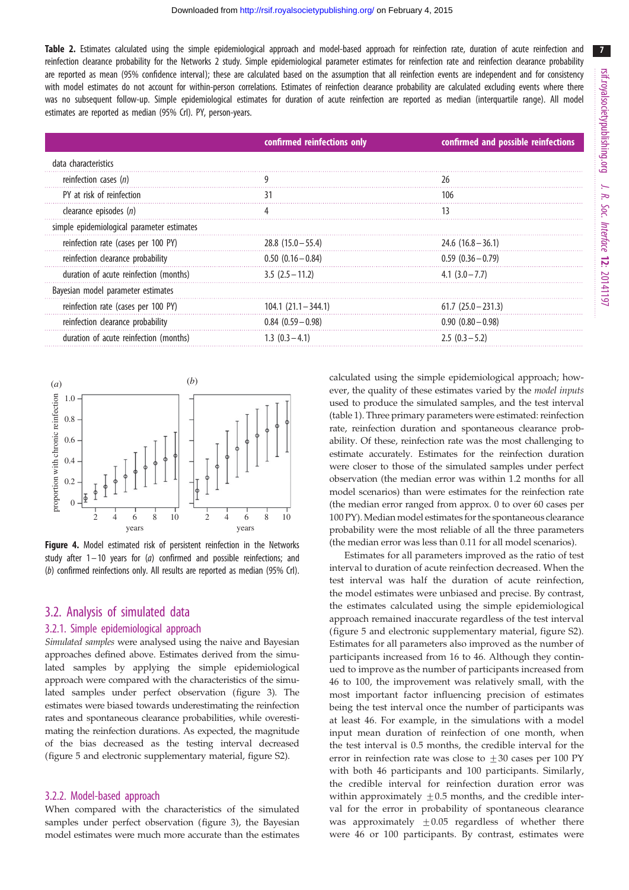<span id="page-6-0"></span>Table 2. Estimates calculated using the simple epidemiological approach and model-based approach for reinfection rate, duration of acute reinfection and reinfection clearance probability for the Networks 2 study. Simple epidemiological parameter estimates for reinfection rate and reinfection clearance probability are reported as mean (95% confidence interval); these are calculated based on the assumption that all reinfection events are independent and for consistency with model estimates do not account for within-person correlations. Estimates of reinfection clearance probability are calculated excluding events where there was no subsequent follow-up. Simple epidemiological estimates for duration of acute reinfection are reported as median (interquartile range). All model estimates are reported as median (95% CrI). PY, person-years.

|                                            | confirmed reinfections only |                     |  |
|--------------------------------------------|-----------------------------|---------------------|--|
| data characteristics                       |                             |                     |  |
| reinfection cases (n)                      | y                           | $\lambda$           |  |
| PY at risk of reinfection                  | 31                          | 106                 |  |
| clearance episodes (n)                     |                             |                     |  |
| simple epidemiological parameter estimates |                             |                     |  |
| reinfection rate (cases per 100 PY)        | $28.8(15.0-55.4)$           | $24.6(16.8-36.1)$   |  |
| reinfection clearance probability          | $0.50(0.16 - 0.84)$         | $0.59(0.36 - 0.79)$ |  |
| duration of acute reinfection (months)     | $3.5(2.5-11.2)$             | $4.1(3.0 - 7.7)$    |  |
| Bayesian model parameter estimates         |                             |                     |  |
| reinfection rate (cases per 100 PY)        | $104.1 (21.1 - 344.1)$      | $61.7(25.0-231.3)$  |  |
| reinfection clearance probability          | $0.84(0.59 - 0.98)$         | $0.90(0.80 - 0.98)$ |  |
| duration of acute reinfection (months)     | $1.3(0.3-4.1)$              | $2.5(0.3-5.2)$      |  |



Figure 4. Model estimated risk of persistent reinfection in the Networks study after  $1 - 10$  years for (*a*) confirmed and possible reinfections; and (b) confirmed reinfections only. All results are reported as median (95% CrI).

## 3.2. Analysis of simulated data

## 3.2.1. Simple epidemiological approach

Simulated samples were analysed using the naive and Bayesian approaches defined above. Estimates derived from the simulated samples by applying the simple epidemiological approach were compared with the characteristics of the simulated samples under perfect observation [\(figure 3](#page-4-0)). The estimates were biased towards underestimating the reinfection rates and spontaneous clearance probabilities, while overestimating the reinfection durations. As expected, the magnitude of the bias decreased as the testing interval decreased [\(figure 5](#page-7-0) and electronic supplementary material, figure S2).

## 3.2.2. Model-based approach

When compared with the characteristics of the simulated samples under perfect observation [\(figure 3](#page-4-0)), the Bayesian model estimates were much more accurate than the estimates calculated using the simple epidemiological approach; however, the quality of these estimates varied by the model inputs used to produce the simulated samples, and the test interval ([table 1\)](#page-5-0). Three primary parameters were estimated: reinfection rate, reinfection duration and spontaneous clearance probability. Of these, reinfection rate was the most challenging to estimate accurately. Estimates for the reinfection duration were closer to those of the simulated samples under perfect observation (the median error was within 1.2 months for all model scenarios) than were estimates for the reinfection rate (the median error ranged from approx. 0 to over 60 cases per 100 PY). Median model estimates for the spontaneous clearance probability were the most reliable of all the three parameters (the median error was less than 0.11 for all model scenarios).

Estimates for all parameters improved as the ratio of test interval to duration of acute reinfection decreased. When the test interval was half the duration of acute reinfection, the model estimates were unbiased and precise. By contrast, the estimates calculated using the simple epidemiological approach remained inaccurate regardless of the test interval ( [figure 5](#page-7-0) and electronic supplementary material, figure S2). Estimates for all parameters also improved as the number of participants increased from 16 to 46. Although they continued to improve as the number of participants increased from 46 to 100, the improvement was relatively small, with the most important factor influencing precision of estimates being the test interval once the number of participants was at least 46. For example, in the simulations with a model input mean duration of reinfection of one month, when the test interval is 0.5 months, the credible interval for the error in reinfection rate was close to  $\pm 30$  cases per 100 PY with both 46 participants and 100 participants. Similarly, the credible interval for reinfection duration error was within approximately  $\pm 0.5$  months, and the credible interval for the error in probability of spontaneous clearance was approximately  $\pm 0.05$  regardless of whether there were 46 or 100 participants. By contrast, estimates were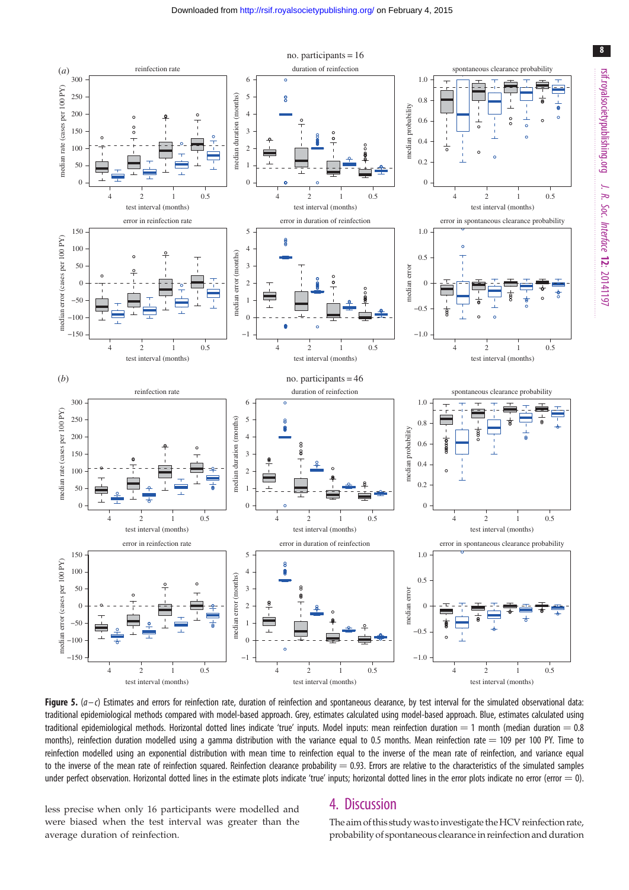<span id="page-7-0"></span>

Figure 5.  $(a-c)$  Estimates and errors for reinfection rate, duration of reinfection and spontaneous clearance, by test interval for the simulated observational data: traditional epidemiological methods compared with model-based approach. Grey, estimates calculated using model-based approach. Blue, estimates calculated using traditional epidemiological methods. Horizontal dotted lines indicate 'true' inputs. Model inputs: mean reinfection duration  $= 1$  month (median duration  $= 0.8$ months), reinfection duration modelled using a gamma distribution with the variance equal to 0.5 months. Mean reinfection rate = 109 per 100 PY. Time to reinfection modelled using an exponential distribution with mean time to reinfection equal to the inverse of the mean rate of reinfection, and variance equal to the inverse of the mean rate of reinfection squared. Reinfection clearance probability  $= 0.93$ . Errors are relative to the characteristics of the simulated samples under perfect observation. Horizontal dotted lines in the estimate plots indicate 'true' inputs; horizontal dotted lines in the error plots indicate no error (error = 0).

less precise when only 16 participants were modelled and were biased when the test interval was greater than the average duration of reinfection.

## 4. Discussion

The aim of this study was to investigate the HCV reinfection rate, probability of spontaneous clearance in reinfection and duration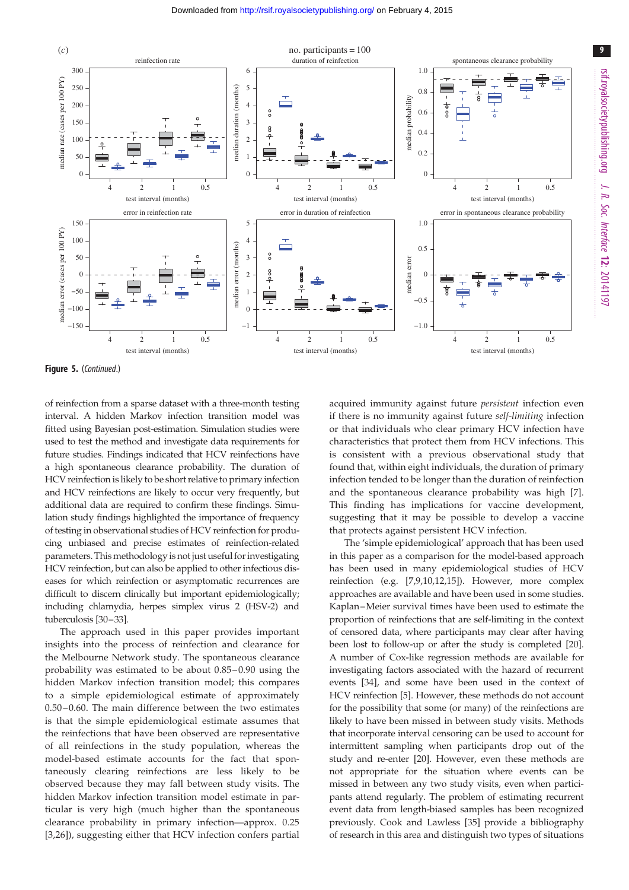

Figure 5. (Continued.)

of reinfection from a sparse dataset with a three-month testing interval. A hidden Markov infection transition model was fitted using Bayesian post-estimation. Simulation studies were used to test the method and investigate data requirements for future studies. Findings indicated that HCV reinfections have a high spontaneous clearance probability. The duration of HCV reinfection is likely to be short relative to primary infection and HCV reinfections are likely to occur very frequently, but additional data are required to confirm these findings. Simulation study findings highlighted the importance of frequency of testing in observational studies of HCV reinfection for producing unbiased and precise estimates of reinfection-related parameters. This methodology is not just useful for investigating HCV reinfection, but can also be applied to other infectious diseases for which reinfection or asymptomatic recurrences are difficult to discern clinically but important epidemiologically; including chlamydia, herpes simplex virus 2 (HSV-2) and tuberculosis [\[30](#page-12-0)–[33\]](#page-12-0).

The approach used in this paper provides important insights into the process of reinfection and clearance for the Melbourne Network study. The spontaneous clearance probability was estimated to be about 0.85 – 0.90 using the hidden Markov infection transition model; this compares to a simple epidemiological estimate of approximately 0.50 – 0.60. The main difference between the two estimates is that the simple epidemiological estimate assumes that the reinfections that have been observed are representative of all reinfections in the study population, whereas the model-based estimate accounts for the fact that spontaneously clearing reinfections are less likely to be observed because they may fall between study visits. The hidden Markov infection transition model estimate in particular is very high (much higher than the spontaneous clearance probability in primary infection—approx. 0.25 [[3](#page-11-0)[,26\]](#page-12-0)), suggesting either that HCV infection confers partial acquired immunity against future persistent infection even if there is no immunity against future self-limiting infection or that individuals who clear primary HCV infection have characteristics that protect them from HCV infections. This is consistent with a previous observational study that found that, within eight individuals, the duration of primary infection tended to be longer than the duration of reinfection and the spontaneous clearance probability was high [[7](#page-11-0)]. This finding has implications for vaccine development, suggesting that it may be possible to develop a vaccine that protects against persistent HCV infection.

The 'simple epidemiological' approach that has been used in this paper as a comparison for the model-based approach has been used in many epidemiological studies of HCV reinfection (e.g. [[7](#page-11-0),[9,10](#page-11-0),[12,15\]](#page-11-0)). However, more complex approaches are available and have been used in some studies. Kaplan–Meier survival times have been used to estimate the proportion of reinfections that are self-limiting in the context of censored data, where participants may clear after having been lost to follow-up or after the study is completed [[20\]](#page-11-0). A number of Cox-like regression methods are available for investigating factors associated with the hazard of recurrent events [[34\]](#page-12-0), and some have been used in the context of HCV reinfection [[5](#page-11-0)]. However, these methods do not account for the possibility that some (or many) of the reinfections are likely to have been missed in between study visits. Methods that incorporate interval censoring can be used to account for intermittent sampling when participants drop out of the study and re-enter [[20\]](#page-11-0). However, even these methods are not appropriate for the situation where events can be missed in between any two study visits, even when participants attend regularly. The problem of estimating recurrent event data from length-biased samples has been recognized previously. Cook and Lawless [[35\]](#page-12-0) provide a bibliography of research in this area and distinguish two types of situations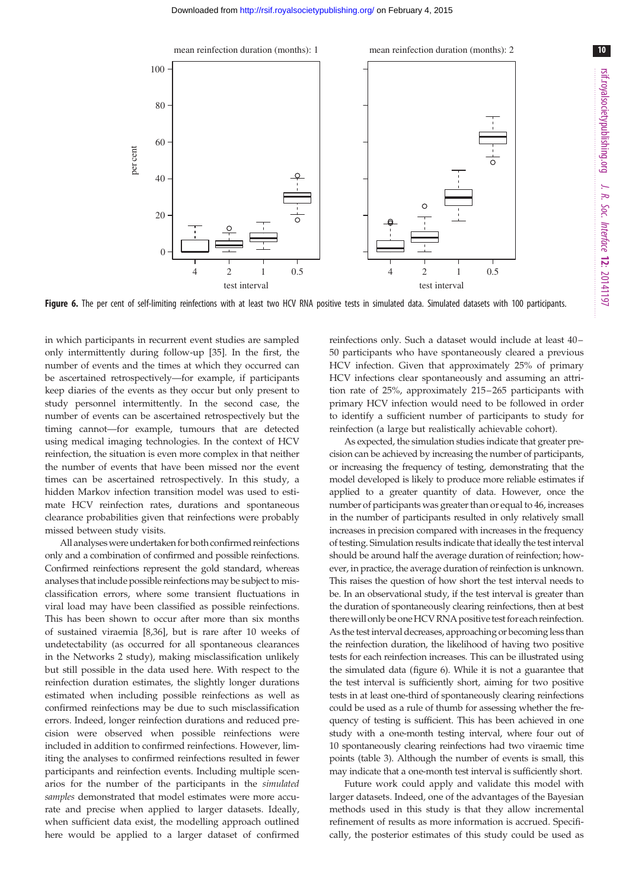

Figure 6. The per cent of self-limiting reinfections with at least two HCV RNA positive tests in simulated data. Simulated datasets with 100 participants.

in which participants in recurrent event studies are sampled only intermittently during follow-up [[35\]](#page-12-0). In the first, the number of events and the times at which they occurred can be ascertained retrospectively—for example, if participants keep diaries of the events as they occur but only present to study personnel intermittently. In the second case, the number of events can be ascertained retrospectively but the timing cannot—for example, tumours that are detected using medical imaging technologies. In the context of HCV reinfection, the situation is even more complex in that neither the number of events that have been missed nor the event times can be ascertained retrospectively. In this study, a hidden Markov infection transition model was used to estimate HCV reinfection rates, durations and spontaneous clearance probabilities given that reinfections were probably missed between study visits.

All analyseswere undertaken for both confirmed reinfections only and a combination of confirmed and possible reinfections. Confirmed reinfections represent the gold standard, whereas analyses that include possible reinfections may be subject to misclassification errors, where some transient fluctuations in viral load may have been classified as possible reinfections. This has been shown to occur after more than six months of sustained viraemia [\[8,](#page-11-0)[36\]](#page-12-0), but is rare after 10 weeks of undetectability (as occurred for all spontaneous clearances in the Networks 2 study), making misclassification unlikely but still possible in the data used here. With respect to the reinfection duration estimates, the slightly longer durations estimated when including possible reinfections as well as confirmed reinfections may be due to such misclassification errors. Indeed, longer reinfection durations and reduced precision were observed when possible reinfections were included in addition to confirmed reinfections. However, limiting the analyses to confirmed reinfections resulted in fewer participants and reinfection events. Including multiple scenarios for the number of the participants in the simulated samples demonstrated that model estimates were more accurate and precise when applied to larger datasets. Ideally, when sufficient data exist, the modelling approach outlined here would be applied to a larger dataset of confirmed

reinfections only. Such a dataset would include at least 40 – 50 participants who have spontaneously cleared a previous HCV infection. Given that approximately 25% of primary HCV infections clear spontaneously and assuming an attrition rate of 25%, approximately 215– 265 participants with primary HCV infection would need to be followed in order to identify a sufficient number of participants to study for reinfection (a large but realistically achievable cohort).

As expected, the simulation studies indicate that greater precision can be achieved by increasing the number of participants, or increasing the frequency of testing, demonstrating that the model developed is likely to produce more reliable estimates if applied to a greater quantity of data. However, once the number of participants was greater than or equal to 46, increases in the number of participants resulted in only relatively small increases in precision compared with increases in the frequency of testing. Simulation results indicate that ideally the test interval should be around half the average duration of reinfection; however, in practice, the average duration of reinfection is unknown. This raises the question of how short the test interval needs to be. In an observational study, if the test interval is greater than the duration of spontaneously clearing reinfections, then at best there will only be one HCV RNA positive test for each reinfection. As the test interval decreases, approaching or becoming less than the reinfection duration, the likelihood of having two positive tests for each reinfection increases. This can be illustrated using the simulated data (figure 6). While it is not a guarantee that the test interval is sufficiently short, aiming for two positive tests in at least one-third of spontaneously clearing reinfections could be used as a rule of thumb for assessing whether the frequency of testing is sufficient. This has been achieved in one study with a one-month testing interval, where four out of 10 spontaneously clearing reinfections had two viraemic time points ([table 3\)](#page-10-0). Although the number of events is small, this may indicate that a one-month test interval is sufficiently short.

Future work could apply and validate this model with larger datasets. Indeed, one of the advantages of the Bayesian methods used in this study is that they allow incremental refinement of results as more information is accrued. Specifically, the posterior estimates of this study could be used as

rsif.royalsocietypublishing.org

J. R.Soc.

Interface

12: 20141197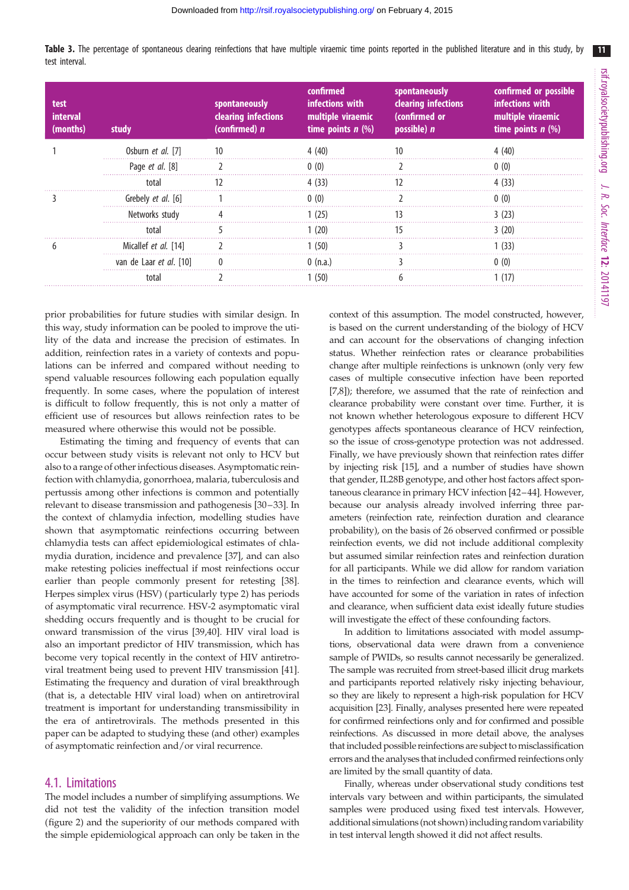<span id="page-10-0"></span>Table 3. The percentage of spontaneous clearing reinfections that have multiple viraemic time points reported in the published literature and in this study, by test interval.

| test<br>interval<br>(months) | study                     | spontaneously<br><b>clearing infections</b><br>$\overline{(\text{confirmed})}$ $\overline{n}$ | confirmed<br>infections with<br>multiple viraemic<br>time points $n$ (%) | spontaneously<br>clearing infections<br>(confirmed or<br>possible) n | confirmed or possible<br>infections with<br>multiple viraemic<br>time points $n$ (%) |
|------------------------------|---------------------------|-----------------------------------------------------------------------------------------------|--------------------------------------------------------------------------|----------------------------------------------------------------------|--------------------------------------------------------------------------------------|
|                              | Osburn et al. [7]         |                                                                                               | 4 (40)                                                                   |                                                                      | 4(40)                                                                                |
|                              | Page et al. [8]           |                                                                                               | 0 (0)                                                                    |                                                                      |                                                                                      |
|                              | total                     |                                                                                               |                                                                          |                                                                      |                                                                                      |
|                              | Grebely <i>et al.</i> [6] |                                                                                               | 0 (0)                                                                    |                                                                      | 0 (O)                                                                                |
|                              | Networks study            |                                                                                               | 1(25)                                                                    | 13                                                                   | 3 (23)                                                                               |
|                              | total                     |                                                                                               | 1 (20)                                                                   | 15                                                                   | 3 (20)                                                                               |
| n                            | Micallef et al. [14]      |                                                                                               | (50)                                                                     |                                                                      | (33)                                                                                 |
|                              | van de Laar et al. [10]   |                                                                                               | $0 \;$ (n.a.)                                                            |                                                                      |                                                                                      |
|                              |                           |                                                                                               |                                                                          |                                                                      |                                                                                      |

J. R. Soc. Interface 12: 20141197

prior probabilities for future studies with similar design. In this way, study information can be pooled to improve the utility of the data and increase the precision of estimates. In addition, reinfection rates in a variety of contexts and populations can be inferred and compared without needing to spend valuable resources following each population equally frequently. In some cases, where the population of interest is difficult to follow frequently, this is not only a matter of efficient use of resources but allows reinfection rates to be measured where otherwise this would not be possible.

Estimating the timing and frequency of events that can occur between study visits is relevant not only to HCV but also to a range of other infectious diseases. Asymptomatic reinfection with chlamydia, gonorrhoea, malaria, tuberculosis and pertussis among other infections is common and potentially relevant to disease transmission and pathogenesis [[30](#page-12-0) –[33\]](#page-12-0). In the context of chlamydia infection, modelling studies have shown that asymptomatic reinfections occurring between chlamydia tests can affect epidemiological estimates of chlamydia duration, incidence and prevalence [\[37](#page-12-0)], and can also make retesting policies ineffectual if most reinfections occur earlier than people commonly present for retesting [\[38](#page-12-0)]. Herpes simplex virus (HSV) (particularly type 2) has periods of asymptomatic viral recurrence. HSV-2 asymptomatic viral shedding occurs frequently and is thought to be crucial for onward transmission of the virus [[39,40](#page-12-0)]. HIV viral load is also an important predictor of HIV transmission, which has become very topical recently in the context of HIV antiretroviral treatment being used to prevent HIV transmission [\[41](#page-12-0)]. Estimating the frequency and duration of viral breakthrough (that is, a detectable HIV viral load) when on antiretroviral treatment is important for understanding transmissibility in the era of antiretrovirals. The methods presented in this paper can be adapted to studying these (and other) examples of asymptomatic reinfection and/or viral recurrence.

## 4.1. Limitations

The model includes a number of simplifying assumptions. We did not test the validity of the infection transition model [\(figure 2](#page-3-0)) and the superiority of our methods compared with the simple epidemiological approach can only be taken in the context of this assumption. The model constructed, however, is based on the current understanding of the biology of HCV and can account for the observations of changing infection status. Whether reinfection rates or clearance probabilities change after multiple reinfections is unknown (only very few cases of multiple consecutive infection have been reported [[7,8\]](#page-11-0)); therefore, we assumed that the rate of reinfection and clearance probability were constant over time. Further, it is not known whether heterologous exposure to different HCV genotypes affects spontaneous clearance of HCV reinfection, so the issue of cross-genotype protection was not addressed. Finally, we have previously shown that reinfection rates differ by injecting risk [\[15](#page-11-0)], and a number of studies have shown that gender, IL28B genotype, and other host factors affect spontaneous clearance in primary HCV infection [\[42](#page-12-0)–[44](#page-12-0)]. However, because our analysis already involved inferring three parameters (reinfection rate, reinfection duration and clearance probability), on the basis of 26 observed confirmed or possible reinfection events, we did not include additional complexity but assumed similar reinfection rates and reinfection duration for all participants. While we did allow for random variation in the times to reinfection and clearance events, which will have accounted for some of the variation in rates of infection and clearance, when sufficient data exist ideally future studies will investigate the effect of these confounding factors.

In addition to limitations associated with model assumptions, observational data were drawn from a convenience sample of PWIDs, so results cannot necessarily be generalized. The sample was recruited from street-based illicit drug markets and participants reported relatively risky injecting behaviour, so they are likely to represent a high-risk population for HCV acquisition [\[23](#page-11-0)]. Finally, analyses presented here were repeated for confirmed reinfections only and for confirmed and possible reinfections. As discussed in more detail above, the analyses that included possible reinfections are subject to misclassification errors and the analyses that included confirmed reinfections only are limited by the small quantity of data.

Finally, whereas under observational study conditions test intervals vary between and within participants, the simulated samples were produced using fixed test intervals. However, additional simulations (not shown) including random variability in test interval length showed it did not affect results.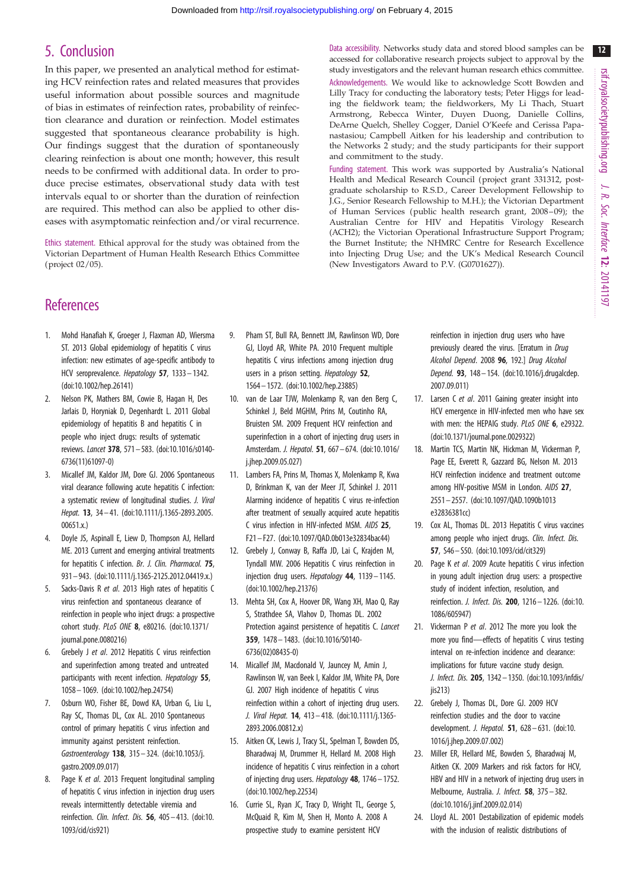# <span id="page-11-0"></span>5. Conclusion

In this paper, we presented an analytical method for estimating HCV reinfection rates and related measures that provides useful information about possible sources and magnitude of bias in estimates of reinfection rates, probability of reinfection clearance and duration or reinfection. Model estimates suggested that spontaneous clearance probability is high. Our findings suggest that the duration of spontaneously clearing reinfection is about one month; however, this result needs to be confirmed with additional data. In order to produce precise estimates, observational study data with test intervals equal to or shorter than the duration of reinfection are required. This method can also be applied to other diseases with asymptomatic reinfection and/or viral recurrence.

Ethics statement. Ethical approval for the study was obtained from the Victorian Department of Human Health Research Ethics Committee (project 02/05).

Data accessibility. Networks study data and stored blood samples can be accessed for collaborative research projects subject to approval by the study investigators and the relevant human research ethics committee. Acknowledgements. We would like to acknowledge Scott Bowden and Lilly Tracy for conducting the laboratory tests; Peter Higgs for leading the fieldwork team; the fieldworkers, My Li Thach, Stuart Armstrong, Rebecca Winter, Duyen Duong, Danielle Collins, DeArne Quelch, Shelley Cogger, Daniel O'Keefe and Cerissa Papanastasiou; Campbell Aitken for his leadership and contribution to the Networks 2 study; and the study participants for their support and commitment to the study.

Funding statement. This work was supported by Australia's National Health and Medical Research Council (project grant 331312, postgraduate scholarship to R.S.D., Career Development Fellowship to J.G., Senior Research Fellowship to M.H.); the Victorian Department of Human Services (public health research grant, 2008–09); the Australian Centre for HIV and Hepatitis Virology Research (ACH2); the Victorian Operational Infrastructure Support Program; the Burnet Institute; the NHMRC Centre for Research Excellence into Injecting Drug Use; and the UK's Medical Research Council (New Investigators Award to P.V. (G0701627)).

# **References**

- 1. Mohd Hanafiah K, Groeger J, Flaxman AD, Wiersma ST. 2013 Global epidemiology of hepatitis C virus infection: new estimates of age-specific antibody to HCV seroprevalence. Hepatology 57, 1333 – 1342. [\(doi:10.1002/hep.26141\)](http://dx.doi.org/10.1002/hep.26141)
- 2. Nelson PK, Mathers BM, Cowie B, Hagan H, Des Jarlais D, Horyniak D, Degenhardt L. 2011 Global epidemiology of hepatitis B and hepatitis C in people who inject drugs: results of systematic reviews. Lancet 378, 571 – 583. [\(doi:10.1016/s0140-](http://dx.doi.org/10.1016/s0140-6736(11)61097-0) [6736\(11\)61097-0\)](http://dx.doi.org/10.1016/s0140-6736(11)61097-0)
- 3. Micallef JM, Kaldor JM, Dore GJ. 2006 Spontaneous viral clearance following acute hepatitis C infection: a systematic review of longitudinal studies. J. Viral Hepat. 13, 34 – 41. [\(doi:10.1111/j.1365-2893.2005.](http://dx.doi.org/10.1111/j.1365-2893.2005.00651.x.) [00651.x.](http://dx.doi.org/10.1111/j.1365-2893.2005.00651.x.))
- 4. Doyle JS, Aspinall E, Liew D, Thompson AJ, Hellard ME. 2013 Current and emerging antiviral treatments for hepatitis C infection. Br. J. Clin. Pharmacol. 75, 931– 943. ([doi:10.1111/j.1365-2125.2012.04419.x.](http://dx.doi.org/10.1111/j.1365-2125.2012.04419.x.))
- 5. Sacks-Davis R et al. 2013 High rates of hepatitis C virus reinfection and spontaneous clearance of reinfection in people who inject drugs: a prospective cohort study. PLoS ONE 8, e80216. ([doi:10.1371/](http://dx.doi.org/10.1371/journal.pone.0080216) [journal.pone.0080216\)](http://dx.doi.org/10.1371/journal.pone.0080216)
- 6. Grebely J et al. 2012 Hepatitis C virus reinfection and superinfection among treated and untreated participants with recent infection. Hepatology 55, 1058 – 1069. [\(doi:10.1002/hep.24754\)](http://dx.doi.org/10.1002/hep.24754)
- 7. Osburn WO, Fisher BE, Dowd KA, Urban G, Liu L, Ray SC, Thomas DL, Cox AL. 2010 Spontaneous control of primary hepatitis C virus infection and immunity against persistent reinfection. Gastroenterology 138, 315– 324. ([doi:10.1053/j.](http://dx.doi.org/10.1053/j.gastro.2009.09.017) [gastro.2009.09.017](http://dx.doi.org/10.1053/j.gastro.2009.09.017))
- 8. Page K et al. 2013 Frequent longitudinal sampling of hepatitis C virus infection in injection drug users reveals intermittently detectable viremia and reinfection. Clin. Infect. Dis. 56, 405 – 413. ([doi:10.](http://dx.doi.org/10.1093/cid/cis921) [1093/cid/cis921](http://dx.doi.org/10.1093/cid/cis921))
- 9. Pham ST, Bull RA, Bennett JM, Rawlinson WD, Dore GJ, Lloyd AR, White PA. 2010 Frequent multiple hepatitis C virus infections among injection drug users in a prison setting. Hepatology 52, 1564– 1572. [\(doi:10.1002/hep.23885\)](http://dx.doi.org/10.1002/hep.23885)
- 10. van de Laar TJW, Molenkamp R, van den Berg C, Schinkel J, Beld MGHM, Prins M, Coutinho RA, Bruisten SM. 2009 Frequent HCV reinfection and superinfection in a cohort of injecting drug users in Amsterdam. J. Hepatol. 51, 667– 674. [\(doi:10.1016/](http://dx.doi.org/10.1016/j.jhep.2009.05.027) [j.jhep.2009.05.027\)](http://dx.doi.org/10.1016/j.jhep.2009.05.027)
- 11. Lambers FA, Prins M, Thomas X, Molenkamp R, Kwa D, Brinkman K, van der Meer JT, Schinkel J. 2011 Alarming incidence of hepatitis C virus re-infection after treatment of sexually acquired acute hepatitis C virus infection in HIV-infected MSM. AIDS 25, F21 – F27. ([doi:10.1097/QAD.0b013e32834bac44\)](http://dx.doi.org/10.1097/QAD.0b013e32834bac44)
- 12. Grebely J, Conway B, Raffa JD, Lai C, Krajden M, Tyndall MW. 2006 Hepatitis C virus reinfection in injection drug users. Hepatology 44, 1139 - 1145. [\(doi:10.1002/hep.21376\)](http://dx.doi.org/10.1002/hep.21376)
- 13. Mehta SH, Cox A, Hoover DR, Wang XH, Mao Q, Ray S, Strathdee SA, Vlahov D, Thomas DL. 2002 Protection against persistence of hepatitis C. Lancet 359, 1478 – 1483. [\(doi:10.1016/S0140-](http://dx.doi.org/10.1016/S0140-6736(02)08435-0) [6736\(02\)08435-0](http://dx.doi.org/10.1016/S0140-6736(02)08435-0))
- 14. Micallef JM, Macdonald V, Jauncey M, Amin J, Rawlinson W, van Beek I, Kaldor JM, White PA, Dore GJ. 2007 High incidence of hepatitis C virus reinfection within a cohort of injecting drug users. J. Viral Hepat. 14, 413– 418. [\(doi:10.1111/j.1365-](http://dx.doi.org/10.1111/j.1365-2893.2006.00812.x) [2893.2006.00812.x\)](http://dx.doi.org/10.1111/j.1365-2893.2006.00812.x)
- 15. Aitken CK, Lewis J, Tracy SL, Spelman T, Bowden DS, Bharadwaj M, Drummer H, Hellard M. 2008 High incidence of hepatitis C virus reinfection in a cohort of injecting drug users. Hepatology 48, 1746 - 1752. [\(doi:10.1002/hep.22534\)](http://dx.doi.org/10.1002/hep.22534)
- 16. Currie SL, Ryan JC, Tracy D, Wright TL, George S, McQuaid R, Kim M, Shen H, Monto A. 2008 A prospective study to examine persistent HCV

reinfection in injection drug users who have previously cleared the virus. [Erratum in *Drug* Alcohol Depend. 2008 96, 192.] Drug Alcohol Depend. 93, 148– 154. [\(doi:10.1016/j.drugalcdep.](http://dx.doi.org/10.1016/j.drugalcdep.2007.09.011) [2007.09.011](http://dx.doi.org/10.1016/j.drugalcdep.2007.09.011))

- 17. Larsen C et al. 2011 Gaining greater insight into HCV emergence in HIV-infected men who have sex with men: the HEPAIG study. PLoS ONE 6, e29322. ([doi:10.1371/journal.pone.0029322](http://dx.doi.org/10.1371/journal.pone.0029322))
- 18. Martin TCS, Martin NK, Hickman M, Vickerman P, Page EE, Everett R, Gazzard BG, Nelson M. 2013 HCV reinfection incidence and treatment outcome among HIV-positive MSM in London. AIDS 27, 2551– 2557. ([doi:10.1097/QAD.1090b1013](http://dx.doi.org/10.1097/QAD.1090b1013e32836381cc) [e32836381cc](http://dx.doi.org/10.1097/QAD.1090b1013e32836381cc))
- 19. Cox AL, Thomas DL. 2013 Hepatitis C virus vaccines among people who inject drugs. Clin. Infect. Dis. 57, S46 – S50. ([doi:10.1093/cid/cit329](http://dx.doi.org/10.1093/cid/cit329))
- 20. Page K et al. 2009 Acute hepatitis C virus infection in young adult injection drug users: a prospective study of incident infection, resolution, and reinfection. J. Infect. Dis. 200, 1216 – 1226. [\(doi:10.](http://dx.doi.org/10.1086/605947) [1086/605947\)](http://dx.doi.org/10.1086/605947)
- 21. Vickerman P et al. 2012 The more you look the more you find—effects of hepatitis C virus testing interval on re-infection incidence and clearance: implications for future vaccine study design. J. Infect. Dis. 205, 1342 – 1350. ([doi:10.1093/infdis/](http://dx.doi.org/10.1093/infdis/jis213) [jis213\)](http://dx.doi.org/10.1093/infdis/jis213)
- 22. Grebely J, Thomas DL, Dore GJ. 2009 HCV reinfection studies and the door to vaccine development. J. Hepatol. 51, 628– 631. [\(doi:10.](http://dx.doi.org/10.1016/j.jhep.2009.07.002) [1016/j.jhep.2009.07.002](http://dx.doi.org/10.1016/j.jhep.2009.07.002))
- 23. Miller ER, Hellard ME, Bowden S, Bharadwaj M, Aitken CK. 2009 Markers and risk factors for HCV, HBV and HIV in a network of injecting drug users in Melbourne, Australia. J. Infect. 58, 375 – 382. ([doi:10.1016/j.jinf.2009.02.014](http://dx.doi.org/10.1016/j.jinf.2009.02.014))
- 24. Lloyd AL. 2001 Destabilization of epidemic models with the inclusion of realistic distributions of